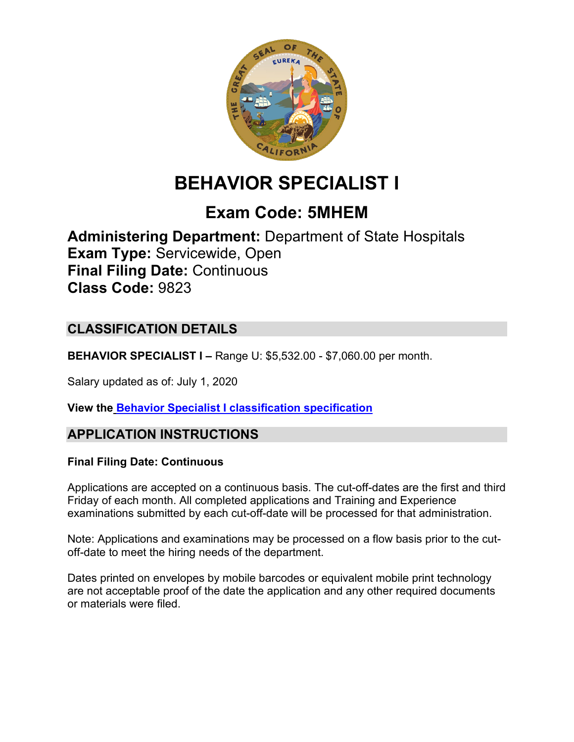

# **BEHAVIOR SPECIALIST I**

# **Exam Code: 5MHEM**

**Administering Department:** Department of State Hospitals **Exam Type:** Servicewide, Open **Final Filing Date:** Continuous **Class Code:** 9823

# **CLASSIFICATION DETAILS**

**BEHAVIOR SPECIALIST I –** Range U: \$5,532.00 - \$7,060.00 per month.

Salary updated as of: July 1, 2020

**View the [Behavior Specialist I classification specification](https://www.calhr.ca.gov/state-hr-professionals/pages/9823.aspx)**

# **APPLICATION INSTRUCTIONS**

### **Final Filing Date: Continuous**

Applications are accepted on a continuous basis. The cut-off-dates are the first and third Friday of each month. All completed applications and Training and Experience examinations submitted by each cut-off-date will be processed for that administration.

Note: Applications and examinations may be processed on a flow basis prior to the cutoff-date to meet the hiring needs of the department.

Dates printed on envelopes by mobile barcodes or equivalent mobile print technology are not acceptable proof of the date the application and any other required documents or materials were filed.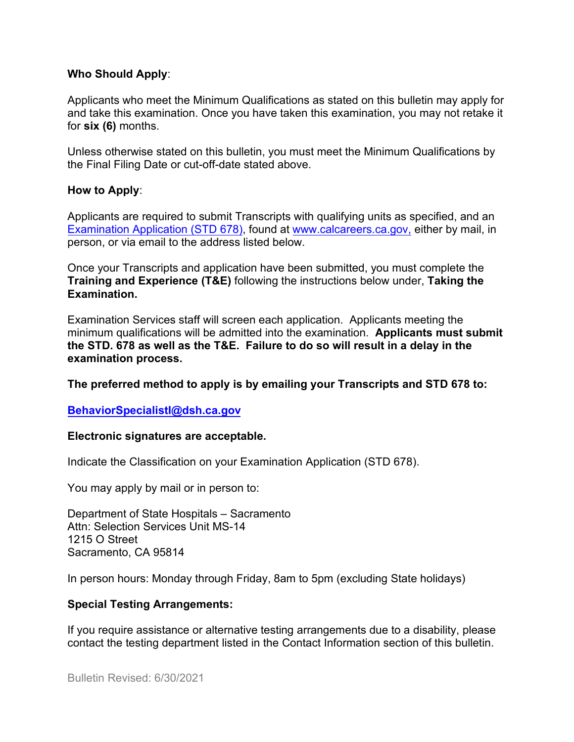#### **Who Should Apply**:

Applicants who meet the Minimum Qualifications as stated on this bulletin may apply for and take this examination. Once you have taken this examination, you may not retake it for **six (6)** months.

Unless otherwise stated on this bulletin, you must meet the Minimum Qualifications by the Final Filing Date or cut-off-date stated above.

#### **How to Apply**:

Applicants are required to submit Transcripts with qualifying units as specified, and an [Examination Application \(STD 678\),](https://jobs.ca.gov/pdf/std678.pdf) found at [www.calcareers.ca.gov,](http://www.calcareers.ca.gov/) either by mail, in person, or via email to the address listed below.

Once your Transcripts and application have been submitted, you must complete the **Training and Experience (T&E)** following the instructions below under, **Taking the Examination.**

Examination Services staff will screen each application. Applicants meeting the minimum qualifications will be admitted into the examination. **Applicants must submit the STD. 678 as well as the T&E. Failure to do so will result in a delay in the examination process.**

**The preferred method to apply is by emailing your Transcripts and STD 678 to:**

### **[BehaviorSpecialistI@dsh.ca.gov](mailto:BehaviorSpecialistI@dsh.ca.gov)**

#### **Electronic signatures are acceptable.**

Indicate the Classification on your Examination Application (STD 678).

You may apply by mail or in person to:

Department of State Hospitals – Sacramento Attn: Selection Services Unit MS-14 1215 O Street Sacramento, CA 95814

In person hours: Monday through Friday, 8am to 5pm (excluding State holidays)

### **Special Testing Arrangements:**

If you require assistance or alternative testing arrangements due to a disability, please contact the testing department listed in the Contact Information section of this bulletin.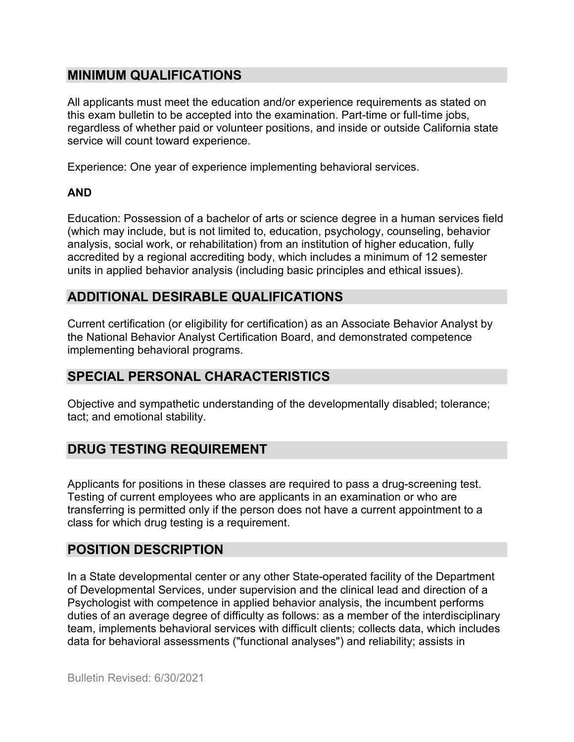## **MINIMUM QUALIFICATIONS**

All applicants must meet the education and/or experience requirements as stated on this exam bulletin to be accepted into the examination. Part-time or full-time jobs, regardless of whether paid or volunteer positions, and inside or outside California state service will count toward experience.

Experience: One year of experience implementing behavioral services.

### **AND**

Education: Possession of a bachelor of arts or science degree in a human services field (which may include, but is not limited to, education, psychology, counseling, behavior analysis, social work, or rehabilitation) from an institution of higher education, fully accredited by a regional accrediting body, which includes a minimum of 12 semester units in applied behavior analysis (including basic principles and ethical issues).

# **ADDITIONAL DESIRABLE QUALIFICATIONS**

Current certification (or eligibility for certification) as an Associate Behavior Analyst by the National Behavior Analyst Certification Board, and demonstrated competence implementing behavioral programs.

## **SPECIAL PERSONAL CHARACTERISTICS**

Objective and sympathetic understanding of the developmentally disabled; tolerance; tact; and emotional stability.

# **DRUG TESTING REQUIREMENT**

Applicants for positions in these classes are required to pass a drug-screening test. Testing of current employees who are applicants in an examination or who are transferring is permitted only if the person does not have a current appointment to a class for which drug testing is a requirement.

# **POSITION DESCRIPTION**

In a State developmental center or any other State-operated facility of the Department of Developmental Services, under supervision and the clinical lead and direction of a Psychologist with competence in applied behavior analysis, the incumbent performs duties of an average degree of difficulty as follows: as a member of the interdisciplinary team, implements behavioral services with difficult clients; collects data, which includes data for behavioral assessments ("functional analyses") and reliability; assists in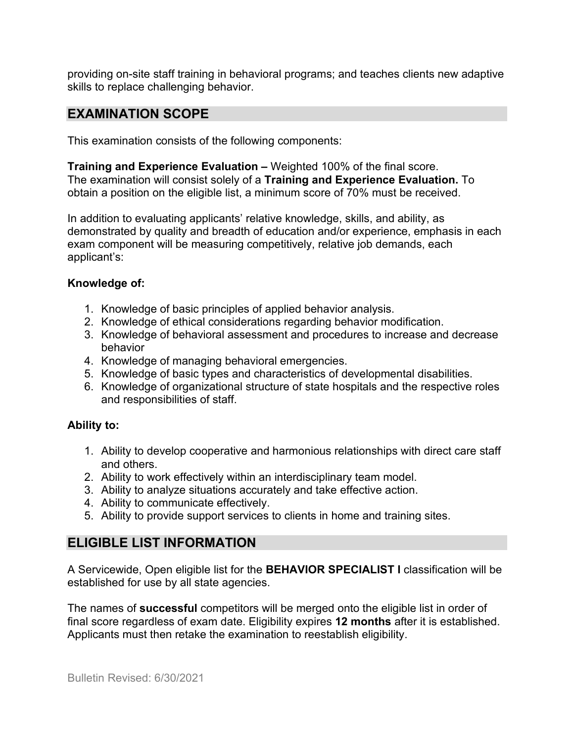providing on-site staff training in behavioral programs; and teaches clients new adaptive skills to replace challenging behavior.

## **EXAMINATION SCOPE**

This examination consists of the following components:

**Training and Experience Evaluation –** Weighted 100% of the final score. The examination will consist solely of a **Training and Experience Evaluation.** To obtain a position on the eligible list, a minimum score of 70% must be received.

In addition to evaluating applicants' relative knowledge, skills, and ability, as demonstrated by quality and breadth of education and/or experience, emphasis in each exam component will be measuring competitively, relative job demands, each applicant's:

#### **Knowledge of:**

- 1. Knowledge of basic principles of applied behavior analysis.
- 2. Knowledge of ethical considerations regarding behavior modification.
- 3. Knowledge of behavioral assessment and procedures to increase and decrease behavior
- 4. Knowledge of managing behavioral emergencies.
- 5. Knowledge of basic types and characteristics of developmental disabilities.
- 6. Knowledge of organizational structure of state hospitals and the respective roles and responsibilities of staff.

### **Ability to:**

- 1. Ability to develop cooperative and harmonious relationships with direct care staff and others.
- 2. Ability to work effectively within an interdisciplinary team model.
- 3. Ability to analyze situations accurately and take effective action.
- 4. Ability to communicate effectively.
- 5. Ability to provide support services to clients in home and training sites.

### **ELIGIBLE LIST INFORMATION**

A Servicewide, Open eligible list for the **BEHAVIOR SPECIALIST I** classification will be established for use by all state agencies.

The names of **successful** competitors will be merged onto the eligible list in order of final score regardless of exam date. Eligibility expires **12 months** after it is established. Applicants must then retake the examination to reestablish eligibility.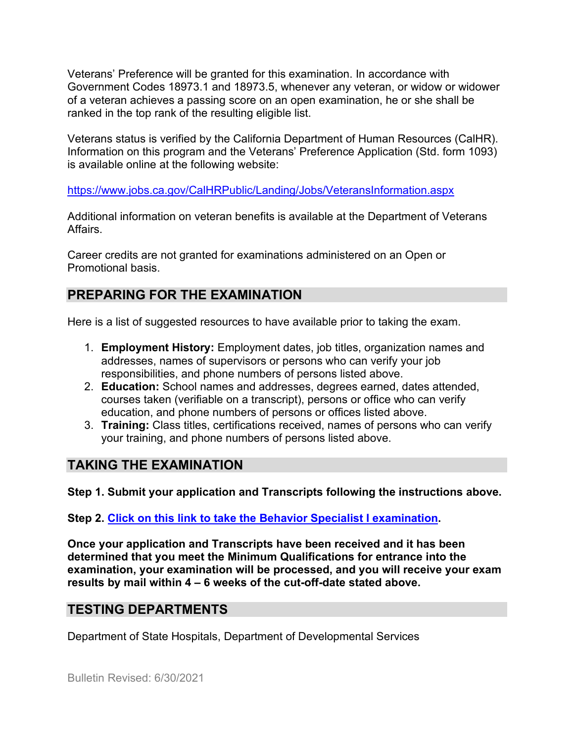Veterans' Preference will be granted for this examination. In accordance with Government Codes 18973.1 and 18973.5, whenever any veteran, or widow or widower of a veteran achieves a passing score on an open examination, he or she shall be ranked in the top rank of the resulting eligible list.

Veterans status is verified by the California Department of Human Resources (CalHR). Information on this program and the Veterans' Preference Application (Std. form 1093) is available online at the following website:

<https://www.jobs.ca.gov/CalHRPublic/Landing/Jobs/VeteransInformation.aspx>

Additional information on veteran benefits is available at the Department of Veterans Affairs.

Career credits are not granted for examinations administered on an Open or Promotional basis.

# **PREPARING FOR THE EXAMINATION**

Here is a list of suggested resources to have available prior to taking the exam.

- 1. **Employment History:** Employment dates, job titles, organization names and addresses, names of supervisors or persons who can verify your job responsibilities, and phone numbers of persons listed above.
- 2. **Education:** School names and addresses, degrees earned, dates attended, courses taken (verifiable on a transcript), persons or office who can verify education, and phone numbers of persons or offices listed above.
- 3. **Training:** Class titles, certifications received, names of persons who can verify your training, and phone numbers of persons listed above.

# **TAKING THE EXAMINATION**

**Step 1. Submit your application and Transcripts following the instructions above.**

**Step 2. [Click on this link to take the Behavior Specialist I](https://www.surveymonkey.com/r/9HCLLQP) examination.**

**Once your application and Transcripts have been received and it has been determined that you meet the Minimum Qualifications for entrance into the examination, your examination will be processed, and you will receive your exam results by mail within 4 – 6 weeks of the cut-off-date stated above.**

## **TESTING DEPARTMENTS**

Department of State Hospitals, Department of Developmental Services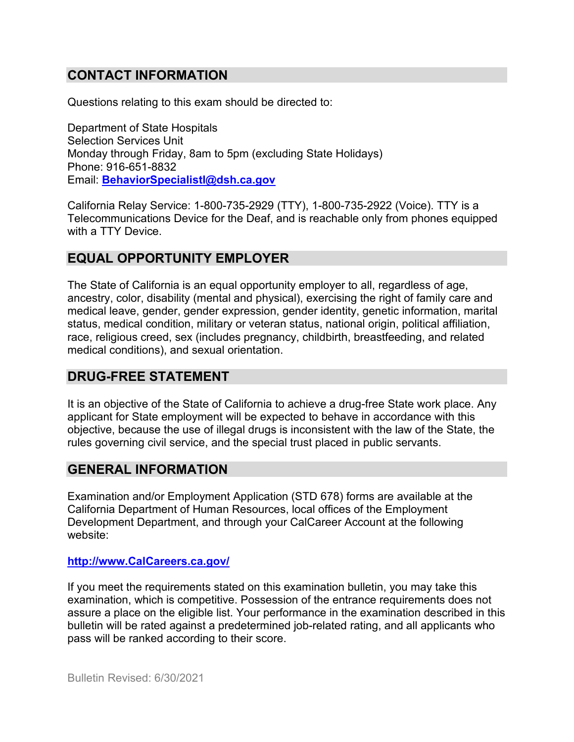# **CONTACT INFORMATION**

Questions relating to this exam should be directed to:

Department of State Hospitals Selection Services Unit Monday through Friday, 8am to 5pm (excluding State Holidays) Phone: 916-651-8832 Email: **[BehaviorSpecialistI@dsh.ca.gov](mailto:BehaviorSpecialistI@dsh.ca.gov)**

California Relay Service: 1-800-735-2929 (TTY), 1-800-735-2922 (Voice). TTY is a Telecommunications Device for the Deaf, and is reachable only from phones equipped with a TTY Device.

### **EQUAL OPPORTUNITY EMPLOYER**

The State of California is an equal opportunity employer to all, regardless of age, ancestry, color, disability (mental and physical), exercising the right of family care and medical leave, gender, gender expression, gender identity, genetic information, marital status, medical condition, military or veteran status, national origin, political affiliation, race, religious creed, sex (includes pregnancy, childbirth, breastfeeding, and related medical conditions), and sexual orientation.

### **DRUG-FREE STATEMENT**

It is an objective of the State of California to achieve a drug-free State work place. Any applicant for State employment will be expected to behave in accordance with this objective, because the use of illegal drugs is inconsistent with the law of the State, the rules governing civil service, and the special trust placed in public servants.

### **GENERAL INFORMATION**

Examination and/or Employment Application (STD 678) forms are available at the California Department of Human Resources, local offices of the Employment Development Department, and through your CalCareer Account at the following website:

#### **[http://www.CalCareers.ca.gov/](http://www.calcareers.ca.gov/)**

If you meet the requirements stated on this examination bulletin, you may take this examination, which is competitive. Possession of the entrance requirements does not assure a place on the eligible list. Your performance in the examination described in this bulletin will be rated against a predetermined job-related rating, and all applicants who pass will be ranked according to their score.